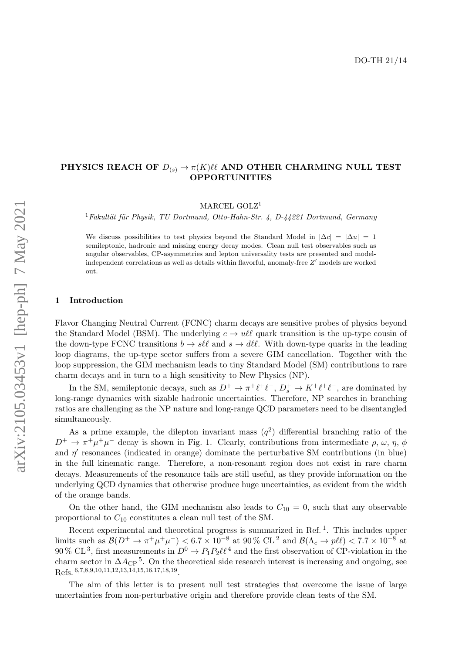# PHYSICS REACH OF  $D_{(s)} \to \pi(K)\ell\ell$  AND OTHER CHARMING NULL TEST **OPPORTUNITIES**

MARCEL GOLZ<sup>1</sup>

<sup>1</sup> Fakultät für Physik, TU Dortmund, Otto-Hahn-Str. 4, D-44221 Dortmund, Germany

We discuss possibilities to test physics beyond the Standard Model in  $|\Delta c| = |\Delta u| = 1$ semileptonic, hadronic and missing energy decay modes. Clean null test observables such as angular observables, CP-asymmetries and lepton universality tests are presented and modelindependent correlations as well as details within flavorful, anomaly-free  $Z'$  models are worked out.

## <span id="page-0-0"></span>1 Introduction

Flavor Changing Neutral Current (FCNC) charm decays are sensitive probes of physics beyond the Standard Model (BSM). The underlying  $c \to u\ell\ell$  quark transition is the up-type cousin of the down-type FCNC transitions  $b \to s\ell\ell$  and  $s \to d\ell\ell$ . With down-type quarks in the leading loop diagrams, the up-type sector suffers from a severe GIM cancellation. Together with the loop suppression, the GIM mechanism leads to tiny Standard Model (SM) contributions to rare charm decays and in turn to a high sensitivity to New Physics (NP).

In the SM, semileptonic decays, such as  $D^+ \to \pi^+ \ell^+ \ell^-$ ,  $D_s^+ \to K^+ \ell^+ \ell^-$ , are dominated by long-range dynamics with sizable hadronic uncertainties. Therefore, NP searches in branching ratios are challenging as the NP nature and long-range QCD parameters need to be disentangled simultaneously.

As a prime example, the dilepton invariant mass  $(q^2)$  differential branching ratio of the  $D^+ \to \pi^+ \mu^+ \mu^-$  decay is shown in Fig. [1.](#page-0-0) Clearly, contributions from intermediate  $\rho$ ,  $\omega$ ,  $\eta$ ,  $\phi$ and  $\eta'$  resonances (indicated in orange) dominate the perturbative SM contributions (in blue) in the full kinematic range. Therefore, a non-resonant region does not exist in rare charm decays. Measurements of the resonance tails are still useful, as they provide information on the underlying QCD dynamics that otherwise produce huge uncertainties, as evident from the width of the orange bands.

On the other hand, the GIM mechanism also leads to  $C_{10} = 0$ , such that any observable proportional to  $C_{10}$  constitutes a clean null test of the SM.

Recent experimental and theoretical progress is summarized in Ref.<sup>[1](#page-3-0)</sup>. This includes upper limits such as  $\mathcal{B}(D^+\to \pi^+\mu^+\mu^-)$  < 6.7 × 10<sup>-8</sup> at 90 % CL<sup>[2](#page-3-1)</sup> and  $\mathcal{B}(\Lambda_c\to p\ell\ell)$  < 7.7 × 10<sup>-8</sup> at 90 % CL<sup>[3](#page-3-2)</sup>, first measurements in  $D^0 \to P_1P_2\ell\ell^4$  $D^0 \to P_1P_2\ell\ell^4$  and the first observation of CP-violation in the charm sector in  $\Delta A_{\rm CP}^5$  $\Delta A_{\rm CP}^5$ . On the theoretical side research interest is increasing and ongoing, see Refs. [6](#page-3-5),[7](#page-3-6),[8](#page-3-7),[9](#page-3-8),[10](#page-3-9),[11](#page-3-10),[12](#page-3-11),[13](#page-3-12),[14](#page-3-13),[15](#page-3-14),[16](#page-3-15),[17](#page-3-16),[18](#page-3-17),[19](#page-3-18).

The aim of this letter is to present null test strategies that overcome the issue of large uncertainties from non-perturbative origin and therefore provide clean tests of the SM.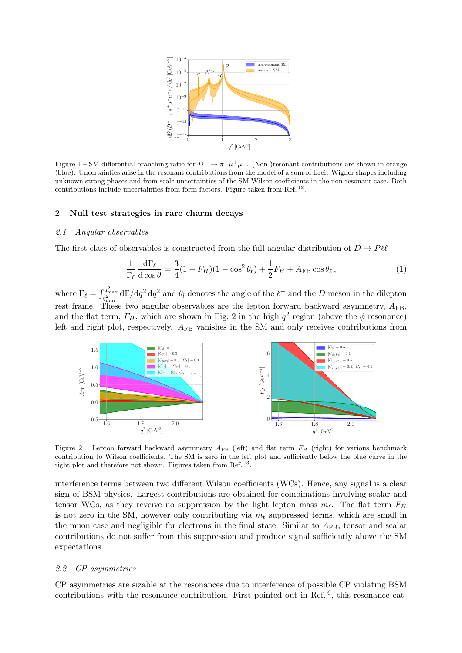

Figure 1 – SM differential branching ratio for  $D^+ \to \pi^+ \mu^+ \mu^-$ . (Non-)resonant contributions are shown in orange (blue). Uncertainties arise in the resonant contributions from the model of a sum of Breit-Wigner shapes including unknown strong phases and from scale uncertainties of the SM Wilson coefficients in the non-resonant case. Both contributions include uncertainties from form factors. Figure taken from Ref.<sup>[13](#page-3-12)</sup>.

#### 2 Null test strategies in rare charm decays

### 2.1 Angular observables

The first class of observables is constructed from the full angular distribution of  $D \to P \ell \ell$ 

<span id="page-1-0"></span>
$$
\frac{1}{\Gamma_{\ell}} \frac{\mathrm{d}\Gamma_{\ell}}{\mathrm{d}\cos\theta} = \frac{3}{4} (1 - F_H)(1 - \cos^2\theta_{\ell}) + \frac{1}{2} F_H + A_{\text{FB}} \cos\theta_{\ell},\tag{1}
$$

where  $\Gamma_\ell = \int_{q^2_{\min}}^{q^2_{\max}} d\Gamma/dq^2 dq^2$  and  $\theta_l$  denotes the angle of the  $\ell^-$  and the D meson in the dilepton rest frame. These two angular observables are the lepton forward backward asymmetry,  $A_{\text{FB}}$ , and the flat term,  $F_H$ , which are shown in Fig. [2](#page-1-0) in the high  $q^2$  region (above the  $\phi$  resonance) left and right plot, respectively.  $A_{FB}$  vanishes in the SM and only receives contributions from



Figure 2 – Lepton forward backward asymmetry  $A_{FB}$  (left) and flat term  $F_H$  (right) for various benchmark contribution to Wilson coefficients. The SM is zero in the left plot and sufficiently below the blue curve in the right plot and therefore not shown. Figures taken from Ref.<sup>[13](#page-3-12)</sup>.

interference terms between two different Wilson coefficients (WCs). Hence, any signal is a clear sign of BSM physics. Largest contributions are obtained for combinations involving scalar and tensor WCs, as they reveive no suppression by the light lepton mass  $m_\ell$ . The flat term  $F_H$ is not zero in the SM, however only contributing via  $m_\ell$  suppressed terms, which are small in the muon case and negligible for electrons in the final state. Similar to  $A_{FB}$ , tensor and scalar contributions do not suffer from this suppression and produce signal sufficiently above the SM expectations.

#### <span id="page-1-1"></span>2.2 CP asymmetries

CP asymmetries are sizable at the resonances due to interference of possible CP violating BSM contributions with the resonance contribution. First pointed out in Ref.  $6$ , this resonance cat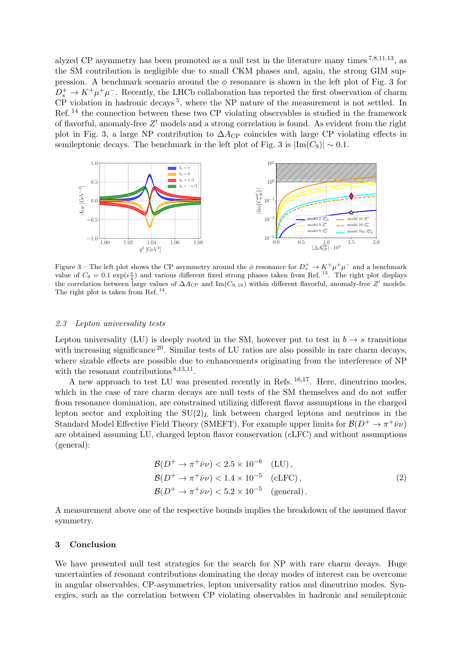alyzed CP asymmetry has been promoted as a null test in the literature many times [7](#page-3-6),[8](#page-3-7),[11](#page-3-10),[13](#page-3-12), as the SM contribution is negligible due to small CKM phases and, again, the strong GIM suppression. A benchmark scenario around the  $\phi$  resonance is shown in the left plot of Fig. [3](#page-1-1) for  $D_s^+ \to K^+\mu^+\mu^-$ . Recently, the LHCb collaboration has reported the first observation of charm CP violation in hadronic decays<sup>[5](#page-3-4)</sup>, where the NP nature of the measurement is not settled. In Ref. [14](#page-3-13) the connection between these two CP violating observables is studied in the framework of flavorful, anomaly-free  $Z'$  models and a strong correlation is found. As evident from the right plot in Fig. [3,](#page-1-1) a large NP contribution to  $\Delta A_{\rm CP}$  coincides with large CP violating effects in semileptonic decays. The benchmark in the left plot of Fig. [3](#page-1-1) is  $|\text{Im}(C_9)| \sim 0.1$ .



Figure 3 – The left plot shows the CP asymmetry around the  $\phi$  resonance for  $D_s^+ \to K^+ \mu^+ \mu^-$  and a benchmark value of  $C_9 = 0.1 \exp(i \frac{\pi}{4})$  and various different fixed strong phases taken from Ref.<sup>[13](#page-3-12)</sup>. The right plot displays the correlation between large values of  $\Delta A_{\rm CP}$  and Im( $C_{9,10}$ ) within different flavorful, anomaly-free Z' models. The right plot is taken from Ref.<sup>[14](#page-3-13)</sup>.

#### 2.3 Lepton universality tests

Lepton universality (LU) is deeply rooted in the SM, however put to test in  $b \to s$  transitions with increasing significance  $20$ . Similar tests of LU ratios are also possible in rare charm decays, where sizable effects are possible due to enhancements originating from the interference of NP with the resonant contributions  $8,13,11$  $8,13,11$  $8,13,11$  $8,13,11$  $8,13,11$ .

A new approach to test LU was presented recently in Refs.  $^{16,17}$  $^{16,17}$  $^{16,17}$  $^{16,17}$  $^{16,17}$ . Here, dineutrino modes, which in the case of rare charm decays are null tests of the SM themselves and do not suffer from resonance domination, are constrained utilizing different flavor assumptions in the charged lepton sector and exploiting the  $SU(2)<sub>L</sub>$  link between charged leptons and neutrinos in the Standard Model Effective Field Theory (SMEFT). For example upper limits for  $\mathcal{B}(D^+ \to \pi^+ \bar{\nu} \nu)$ are obtained assuming LU, charged lepton flavor conservation (cLFC) and without assumptions (general):

$$
\mathcal{B}(D^+ \to \pi^+ \bar{\nu} \nu) < 2.5 \times 10^{-6} \quad \text{(LU)},
$$
\n
$$
\mathcal{B}(D^+ \to \pi^+ \bar{\nu} \nu) < 1.4 \times 10^{-5} \quad \text{(cLFC)},
$$
\n
$$
\mathcal{B}(D^+ \to \pi^+ \bar{\nu} \nu) < 5.2 \times 10^{-5} \quad \text{(general)}.
$$
\n
$$
(2)
$$

A measurement above one of the respective bounds implies the breakdown of the assumed flavor symmetry.

## 3 Conclusion

We have presented null test strategies for the search for NP with rare charm decays. Huge uncertainties of resonant contributions dominating the decay modes of interest can be overcome in angular observables, CP-asymmetries, lepton universality ratios and dineutrino modes. Synergies, such as the correlation between CP violating observables in hadronic and semileptonic